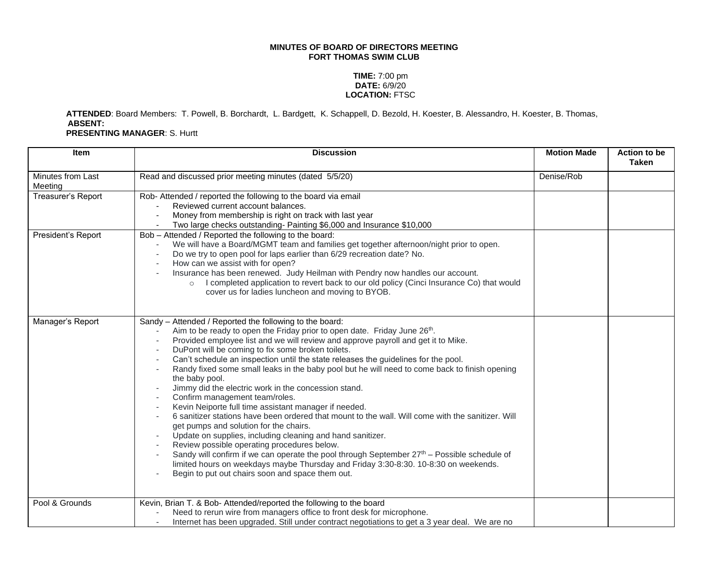## **MINUTES OF BOARD OF DIRECTORS MEETING FORT THOMAS SWIM CLUB**

## **TIME:** 7:00 pm **DATE:** 6/9/20 **LOCATION:** FTSC

**ATTENDED**: Board Members: T. Powell, B. Borchardt, L. Bardgett, K. Schappell, D. Bezold, H. Koester, B. Alessandro, H. Koester, B. Thomas, **ABSENT:**

**PRESENTING MANAGER**: S. Hurtt

| <b>Item</b>                  | <b>Discussion</b>                                                                                                                                                                                                                                                                                                                                                                                                                                                                                                                                                                                                                                                                                                                                                                                                                                                                                                                                                                                                                                                                                                                                 | <b>Motion Made</b> | Action to be<br><b>Taken</b> |
|------------------------------|---------------------------------------------------------------------------------------------------------------------------------------------------------------------------------------------------------------------------------------------------------------------------------------------------------------------------------------------------------------------------------------------------------------------------------------------------------------------------------------------------------------------------------------------------------------------------------------------------------------------------------------------------------------------------------------------------------------------------------------------------------------------------------------------------------------------------------------------------------------------------------------------------------------------------------------------------------------------------------------------------------------------------------------------------------------------------------------------------------------------------------------------------|--------------------|------------------------------|
| Minutes from Last<br>Meeting | Read and discussed prior meeting minutes (dated 5/5/20)                                                                                                                                                                                                                                                                                                                                                                                                                                                                                                                                                                                                                                                                                                                                                                                                                                                                                                                                                                                                                                                                                           | Denise/Rob         |                              |
| Treasurer's Report           | Rob- Attended / reported the following to the board via email<br>Reviewed current account balances.<br>Money from membership is right on track with last year<br>Two large checks outstanding- Painting \$6,000 and Insurance \$10,000                                                                                                                                                                                                                                                                                                                                                                                                                                                                                                                                                                                                                                                                                                                                                                                                                                                                                                            |                    |                              |
| President's Report           | Bob - Attended / Reported the following to the board:<br>We will have a Board/MGMT team and families get together afternoon/night prior to open.<br>Do we try to open pool for laps earlier than 6/29 recreation date? No.<br>How can we assist with for open?<br>Insurance has been renewed. Judy Heilman with Pendry now handles our account.<br>I completed application to revert back to our old policy (Cinci Insurance Co) that would<br>$\circ$<br>cover us for ladies luncheon and moving to BYOB.                                                                                                                                                                                                                                                                                                                                                                                                                                                                                                                                                                                                                                        |                    |                              |
| Manager's Report             | Sandy - Attended / Reported the following to the board:<br>Aim to be ready to open the Friday prior to open date. Friday June 26th.<br>Provided employee list and we will review and approve payroll and get it to Mike.<br>DuPont will be coming to fix some broken toilets.<br>Can't schedule an inspection until the state releases the guidelines for the pool.<br>Randy fixed some small leaks in the baby pool but he will need to come back to finish opening<br>the baby pool.<br>Jimmy did the electric work in the concession stand.<br>Confirm management team/roles.<br>Kevin Neiporte full time assistant manager if needed.<br>6 sanitizer stations have been ordered that mount to the wall. Will come with the sanitizer. Will<br>get pumps and solution for the chairs.<br>Update on supplies, including cleaning and hand sanitizer.<br>Review possible operating procedures below.<br>Sandy will confirm if we can operate the pool through September $27th$ – Possible schedule of<br>limited hours on weekdays maybe Thursday and Friday 3:30-8:30. 10-8:30 on weekends.<br>Begin to put out chairs soon and space them out. |                    |                              |
| Pool & Grounds               | Kevin, Brian T. & Bob- Attended/reported the following to the board<br>Need to rerun wire from managers office to front desk for microphone.<br>Internet has been upgraded. Still under contract negotiations to get a 3 year deal. We are no                                                                                                                                                                                                                                                                                                                                                                                                                                                                                                                                                                                                                                                                                                                                                                                                                                                                                                     |                    |                              |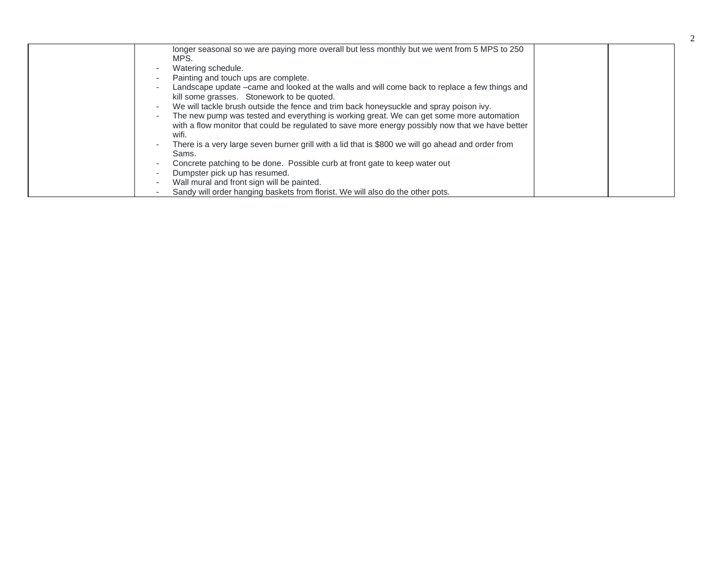| longer seasonal so we are paying more overall but less monthly but we went from 5 MPS to 250<br>MPS. |
|------------------------------------------------------------------------------------------------------|
| Watering schedule.                                                                                   |
| Painting and touch ups are complete.                                                                 |
| Landscape update –came and looked at the walls and will come back to replace a few things and        |
| kill some grasses. Stonework to be quoted.                                                           |
| We will tackle brush outside the fence and trim back honeysuckle and spray poison ivy.               |
| The new pump was tested and everything is working great. We can get some more automation             |
| with a flow monitor that could be regulated to save more energy possibly now that we have better     |
| wifi.                                                                                                |
| There is a very large seven burner grill with a lid that is \$800 we will go ahead and order from    |
| Sams.                                                                                                |
| Concrete patching to be done. Possible curb at front gate to keep water out                          |
| Dumpster pick up has resumed.                                                                        |
| Wall mural and front sign will be painted.                                                           |
| Sandy will order hanging baskets from florist. We will also do the other pots.                       |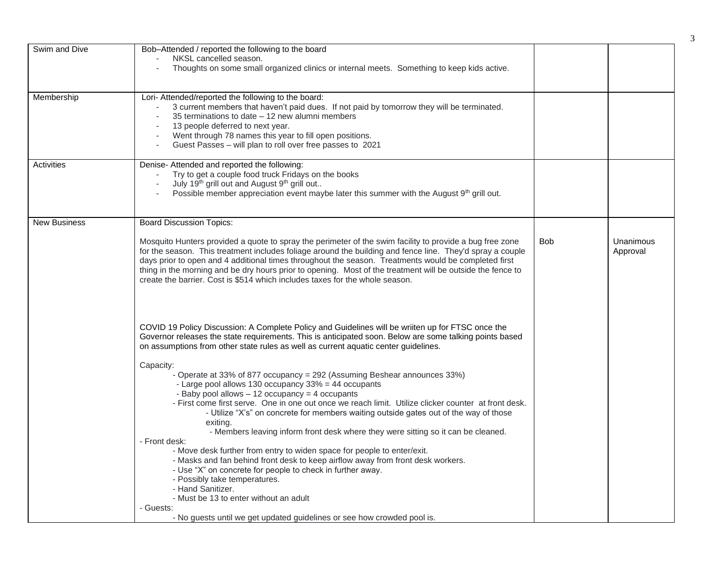| Swim and Dive<br>Membership | Bob-Attended / reported the following to the board<br>NKSL cancelled season.<br>Thoughts on some small organized clinics or internal meets. Something to keep kids active.<br>Lori- Attended/reported the following to the board:<br>3 current members that haven't paid dues. If not paid by tomorrow they will be terminated.<br>35 terminations to date - 12 new alumni members                                                                                                                                                                                                                                                                                                                                                                                                                                                                                                                                                                                                                                                                                                                                                                                                                                                             |     |                       |
|-----------------------------|------------------------------------------------------------------------------------------------------------------------------------------------------------------------------------------------------------------------------------------------------------------------------------------------------------------------------------------------------------------------------------------------------------------------------------------------------------------------------------------------------------------------------------------------------------------------------------------------------------------------------------------------------------------------------------------------------------------------------------------------------------------------------------------------------------------------------------------------------------------------------------------------------------------------------------------------------------------------------------------------------------------------------------------------------------------------------------------------------------------------------------------------------------------------------------------------------------------------------------------------|-----|-----------------------|
|                             | 13 people deferred to next year.<br>Went through 78 names this year to fill open positions.<br>$\overline{\phantom{a}}$<br>Guest Passes - will plan to roll over free passes to 2021                                                                                                                                                                                                                                                                                                                                                                                                                                                                                                                                                                                                                                                                                                                                                                                                                                                                                                                                                                                                                                                           |     |                       |
| Activities                  | Denise-Attended and reported the following:<br>Try to get a couple food truck Fridays on the books<br>July 19th grill out and August 9th grill out<br>Possible member appreciation event maybe later this summer with the August 9th grill out.                                                                                                                                                                                                                                                                                                                                                                                                                                                                                                                                                                                                                                                                                                                                                                                                                                                                                                                                                                                                |     |                       |
| <b>New Business</b>         | <b>Board Discussion Topics:</b>                                                                                                                                                                                                                                                                                                                                                                                                                                                                                                                                                                                                                                                                                                                                                                                                                                                                                                                                                                                                                                                                                                                                                                                                                |     |                       |
|                             | Mosquito Hunters provided a quote to spray the perimeter of the swim facility to provide a bug free zone<br>for the season. This treatment includes foliage around the building and fence line. They'd spray a couple<br>days prior to open and 4 additional times throughout the season. Treatments would be completed first<br>thing in the morning and be dry hours prior to opening. Most of the treatment will be outside the fence to<br>create the barrier. Cost is \$514 which includes taxes for the whole season.                                                                                                                                                                                                                                                                                                                                                                                                                                                                                                                                                                                                                                                                                                                    | Bob | Unanimous<br>Approval |
|                             | COVID 19 Policy Discussion: A Complete Policy and Guidelines will be wriiten up for FTSC once the<br>Governor releases the state requirements. This is anticipated soon. Below are some talking points based<br>on assumptions from other state rules as well as current aquatic center guidelines.<br>Capacity:<br>- Operate at 33% of 877 occupancy = 292 (Assuming Beshear announces 33%)<br>- Large pool allows 130 occupancy 33% = 44 occupants<br>- Baby pool allows - 12 occupancy = 4 occupants<br>- First come first serve. One in one out once we reach limit. Utilize clicker counter at front desk.<br>- Utilize "X's" on concrete for members waiting outside gates out of the way of those<br>exiting.<br>- Members leaving inform front desk where they were sitting so it can be cleaned.<br>- Front desk:<br>- Move desk further from entry to widen space for people to enter/exit.<br>- Masks and fan behind front desk to keep airflow away from front desk workers.<br>- Use "X" on concrete for people to check in further away.<br>- Possibly take temperatures.<br>- Hand Sanitizer.<br>- Must be 13 to enter without an adult<br>- Guests:<br>- No guests until we get updated guidelines or see how crowded pool is. |     |                       |